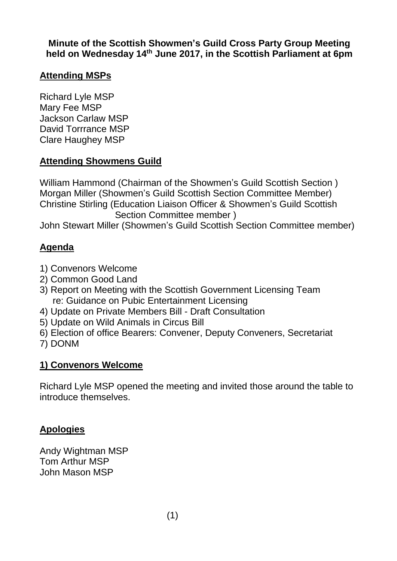**Minute of the Scottish Showmen's Guild Cross Party Group Meeting held on Wednesday 14 th June 2017, in the Scottish Parliament at 6pm**

### **Attending MSPs**

Richard Lyle MSP Mary Fee MSP Jackson Carlaw MSP David Torrrance MSP Clare Haughey MSP

## **Attending Showmens Guild**

William Hammond (Chairman of the Showmen's Guild Scottish Section ) Morgan Miller (Showmen's Guild Scottish Section Committee Member) Christine Stirling (Education Liaison Officer & Showmen's Guild Scottish Section Committee member )

John Stewart Miller (Showmen's Guild Scottish Section Committee member)

# **Agenda**

- 1) Convenors Welcome
- 2) Common Good Land
- 3) Report on Meeting with the Scottish Government Licensing Team re: Guidance on Pubic Entertainment Licensing
- 4) Update on Private Members Bill Draft Consultation
- 5) Update on Wild Animals in Circus Bill
- 6) Election of office Bearers: Convener, Deputy Conveners, Secretariat
- 7) DONM

## **1) Convenors Welcome**

Richard Lyle MSP opened the meeting and invited those around the table to introduce themselves.

## **Apologies**

Andy Wightman MSP Tom Arthur MSP John Mason MSP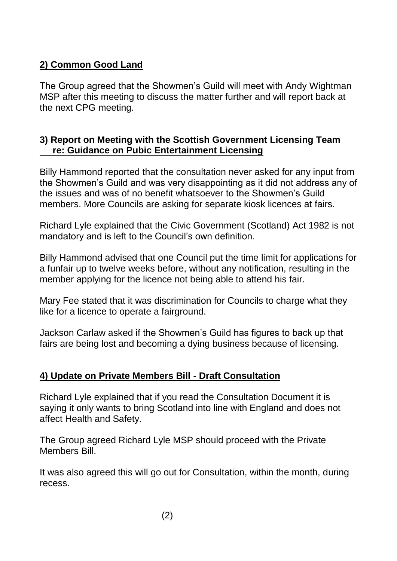## **2) Common Good Land**

The Group agreed that the Showmen's Guild will meet with Andy Wightman MSP after this meeting to discuss the matter further and will report back at the next CPG meeting.

#### **3) Report on Meeting with the Scottish Government Licensing Team re: Guidance on Pubic Entertainment Licensing**

Billy Hammond reported that the consultation never asked for any input from the Showmen's Guild and was very disappointing as it did not address any of the issues and was of no benefit whatsoever to the Showmen's Guild members. More Councils are asking for separate kiosk licences at fairs.

Richard Lyle explained that the Civic Government (Scotland) Act 1982 is not mandatory and is left to the Council's own definition.

Billy Hammond advised that one Council put the time limit for applications for a funfair up to twelve weeks before, without any notification, resulting in the member applying for the licence not being able to attend his fair.

Mary Fee stated that it was discrimination for Councils to charge what they like for a licence to operate a fairground.

Jackson Carlaw asked if the Showmen's Guild has figures to back up that fairs are being lost and becoming a dying business because of licensing.

#### **4) Update on Private Members Bill - Draft Consultation**

Richard Lyle explained that if you read the Consultation Document it is saying it only wants to bring Scotland into line with England and does not affect Health and Safety.

The Group agreed Richard Lyle MSP should proceed with the Private Members Bill.

It was also agreed this will go out for Consultation, within the month, during recess.